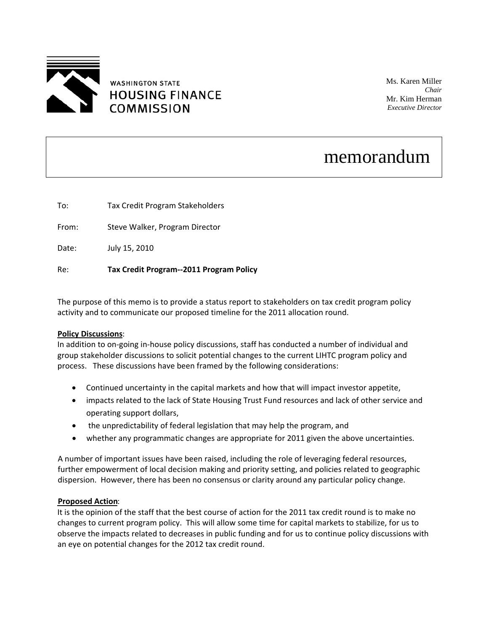

Ms. Karen Miller *Chair* Mr. Kim Herman *Executive Director*

# memorandum

To: Tax Credit Program Stakeholders

From: Steve Walker, Program Director

Date: July 15, 2010

### Re: **Tax Credit Program‐‐2011 Program Policy**

The purpose of this memo is to provide a status report to stakeholders on tax credit program policy activity and to communicate our proposed timeline for the 2011 allocation round.

#### **Policy Discussions**:

In addition to on‐going in‐house policy discussions, staff has conducted a number of individual and group stakeholder discussions to solicit potential changes to the current LIHTC program policy and process. These discussions have been framed by the following considerations:

- Continued uncertainty in the capital markets and how that will impact investor appetite,
- impacts related to the lack of State Housing Trust Fund resources and lack of other service and operating support dollars,
- the unpredictability of federal legislation that may help the program, and
- whether any programmatic changes are appropriate for 2011 given the above uncertainties.

A number of important issues have been raised, including the role of leveraging federal resources, further empowerment of local decision making and priority setting, and policies related to geographic dispersion. However, there has been no consensus or clarity around any particular policy change.

#### **Proposed Action**:

It is the opinion of the staff that the best course of action for the 2011 tax credit round is to make no changes to current program policy. This will allow some time for capital markets to stabilize, for us to observe the impacts related to decreases in public funding and for us to continue policy discussions with an eye on potential changes for the 2012 tax credit round.